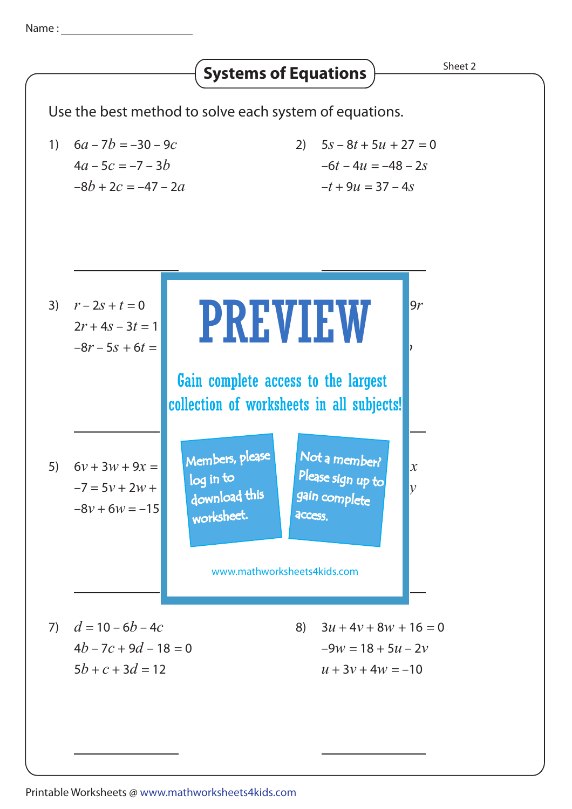